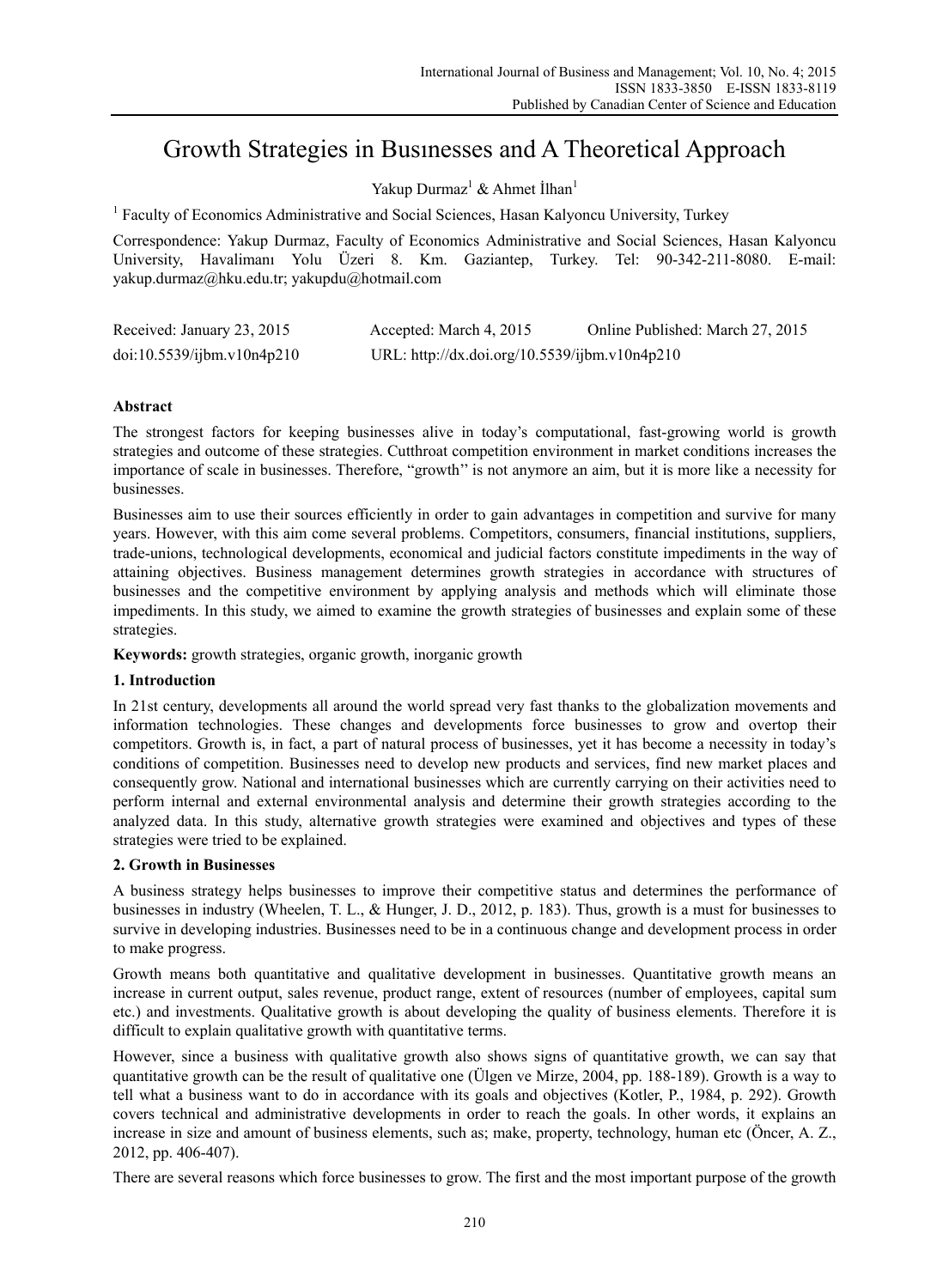# Growth Strategies in Busınesses and A Theoretical Approach

Yakup Durmaz<sup>1</sup> & Ahmet İlhan<sup>1</sup>

<sup>1</sup> Faculty of Economics Administrative and Social Sciences, Hasan Kalyoncu University, Turkey

Correspondence: Yakup Durmaz, Faculty of Economics Administrative and Social Sciences, Hasan Kalyoncu University, Havalimanı Yolu Üzeri 8. Km. Gaziantep, Turkey. Tel: 90-342-211-8080. E-mail: yakup.durmaz@hku.edu.tr; yakupdu@hotmail.com

| Received: January 23, 2015 | Accepted: March 4, 2015                       | Online Published: March 27, 2015 |
|----------------------------|-----------------------------------------------|----------------------------------|
| doi:10.5539/ijbm.v10n4p210 | URL: http://dx.doi.org/10.5539/ijbm.v10n4p210 |                                  |

# **Abstract**

The strongest factors for keeping businesses alive in today's computational, fast-growing world is growth strategies and outcome of these strategies. Cutthroat competition environment in market conditions increases the importance of scale in businesses. Therefore, "growth'' is not anymore an aim, but it is more like a necessity for businesses.

Businesses aim to use their sources efficiently in order to gain advantages in competition and survive for many years. However, with this aim come several problems. Competitors, consumers, financial institutions, suppliers, trade-unions, technological developments, economical and judicial factors constitute impediments in the way of attaining objectives. Business management determines growth strategies in accordance with structures of businesses and the competitive environment by applying analysis and methods which will eliminate those impediments. In this study, we aimed to examine the growth strategies of businesses and explain some of these strategies.

**Keywords:** growth strategies, organic growth, inorganic growth

# **1. Introduction**

In 21st century, developments all around the world spread very fast thanks to the globalization movements and information technologies. These changes and developments force businesses to grow and overtop their competitors. Growth is, in fact, a part of natural process of businesses, yet it has become a necessity in today's conditions of competition. Businesses need to develop new products and services, find new market places and consequently grow. National and international businesses which are currently carrying on their activities need to perform internal and external environmental analysis and determine their growth strategies according to the analyzed data. In this study, alternative growth strategies were examined and objectives and types of these strategies were tried to be explained.

# **2. Growth in Businesses**

A business strategy helps businesses to improve their competitive status and determines the performance of businesses in industry (Wheelen, T. L., & Hunger, J. D., 2012, p. 183). Thus, growth is a must for businesses to survive in developing industries. Businesses need to be in a continuous change and development process in order to make progress.

Growth means both quantitative and qualitative development in businesses. Quantitative growth means an increase in current output, sales revenue, product range, extent of resources (number of employees, capital sum etc.) and investments. Qualitative growth is about developing the quality of business elements. Therefore it is difficult to explain qualitative growth with quantitative terms.

However, since a business with qualitative growth also shows signs of quantitative growth, we can say that quantitative growth can be the result of qualitative one (Ülgen ve Mirze, 2004, pp. 188-189). Growth is a way to tell what a business want to do in accordance with its goals and objectives (Kotler, P., 1984, p. 292). Growth covers technical and administrative developments in order to reach the goals. In other words, it explains an increase in size and amount of business elements, such as; make, property, technology, human etc (Öncer, A. Z., 2012, pp. 406-407).

There are several reasons which force businesses to grow. The first and the most important purpose of the growth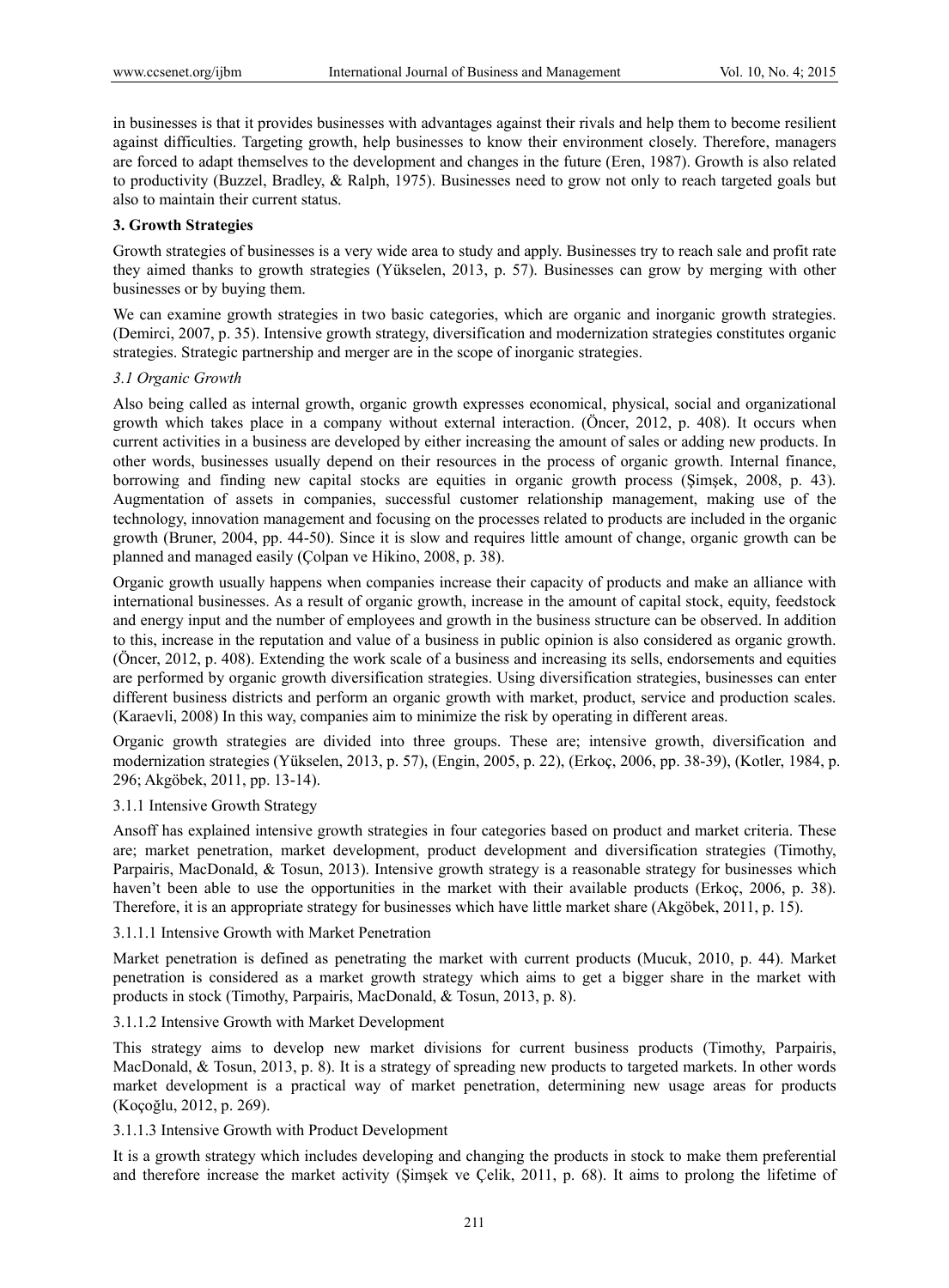in businesses is that it provides businesses with advantages against their rivals and help them to become resilient against difficulties. Targeting growth, help businesses to know their environment closely. Therefore, managers are forced to adapt themselves to the development and changes in the future (Eren, 1987). Growth is also related to productivity (Buzzel, Bradley, & Ralph, 1975). Businesses need to grow not only to reach targeted goals but also to maintain their current status.

## **3. Growth Strategies**

Growth strategies of businesses is a very wide area to study and apply. Businesses try to reach sale and profit rate they aimed thanks to growth strategies (Yükselen, 2013, p. 57). Businesses can grow by merging with other businesses or by buying them.

We can examine growth strategies in two basic categories, which are organic and inorganic growth strategies. (Demirci, 2007, p. 35). Intensive growth strategy, diversification and modernization strategies constitutes organic strategies. Strategic partnership and merger are in the scope of inorganic strategies.

## *3.1 Organic Growth*

Also being called as internal growth, organic growth expresses economical, physical, social and organizational growth which takes place in a company without external interaction. (Öncer, 2012, p. 408). It occurs when current activities in a business are developed by either increasing the amount of sales or adding new products. In other words, businesses usually depend on their resources in the process of organic growth. Internal finance, borrowing and finding new capital stocks are equities in organic growth process (Şimşek, 2008, p. 43). Augmentation of assets in companies, successful customer relationship management, making use of the technology, innovation management and focusing on the processes related to products are included in the organic growth (Bruner, 2004, pp. 44-50). Since it is slow and requires little amount of change, organic growth can be planned and managed easily (Çolpan ve Hikino, 2008, p. 38).

Organic growth usually happens when companies increase their capacity of products and make an alliance with international businesses. As a result of organic growth, increase in the amount of capital stock, equity, feedstock and energy input and the number of employees and growth in the business structure can be observed. In addition to this, increase in the reputation and value of a business in public opinion is also considered as organic growth. (Öncer, 2012, p. 408). Extending the work scale of a business and increasing its sells, endorsements and equities are performed by organic growth diversification strategies. Using diversification strategies, businesses can enter different business districts and perform an organic growth with market, product, service and production scales. (Karaevli, 2008) In this way, companies aim to minimize the risk by operating in different areas.

Organic growth strategies are divided into three groups. These are; intensive growth, diversification and modernization strategies (Yükselen, 2013, p. 57), (Engin, 2005, p. 22), (Erkoç, 2006, pp. 38-39), (Kotler, 1984, p. 296; Akgöbek, 2011, pp. 13-14).

### 3.1.1 Intensive Growth Strategy

Ansoff has explained intensive growth strategies in four categories based on product and market criteria. These are; market penetration, market development, product development and diversification strategies (Timothy, Parpairis, MacDonald, & Tosun, 2013). Intensive growth strategy is a reasonable strategy for businesses which haven't been able to use the opportunities in the market with their available products (Erkoç, 2006, p. 38). Therefore, it is an appropriate strategy for businesses which have little market share (Akgöbek, 2011, p. 15).

## 3.1.1.1 Intensive Growth with Market Penetration

Market penetration is defined as penetrating the market with current products (Mucuk, 2010, p. 44). Market penetration is considered as a market growth strategy which aims to get a bigger share in the market with products in stock (Timothy, Parpairis, MacDonald, & Tosun, 2013, p. 8).

## 3.1.1.2 Intensive Growth with Market Development

This strategy aims to develop new market divisions for current business products (Timothy, Parpairis, MacDonald, & Tosun, 2013, p. 8). It is a strategy of spreading new products to targeted markets. In other words market development is a practical way of market penetration, determining new usage areas for products (Koçoğlu, 2012, p. 269).

### 3.1.1.3 Intensive Growth with Product Development

It is a growth strategy which includes developing and changing the products in stock to make them preferential and therefore increase the market activity (Şimşek ve Çelik, 2011, p. 68). It aims to prolong the lifetime of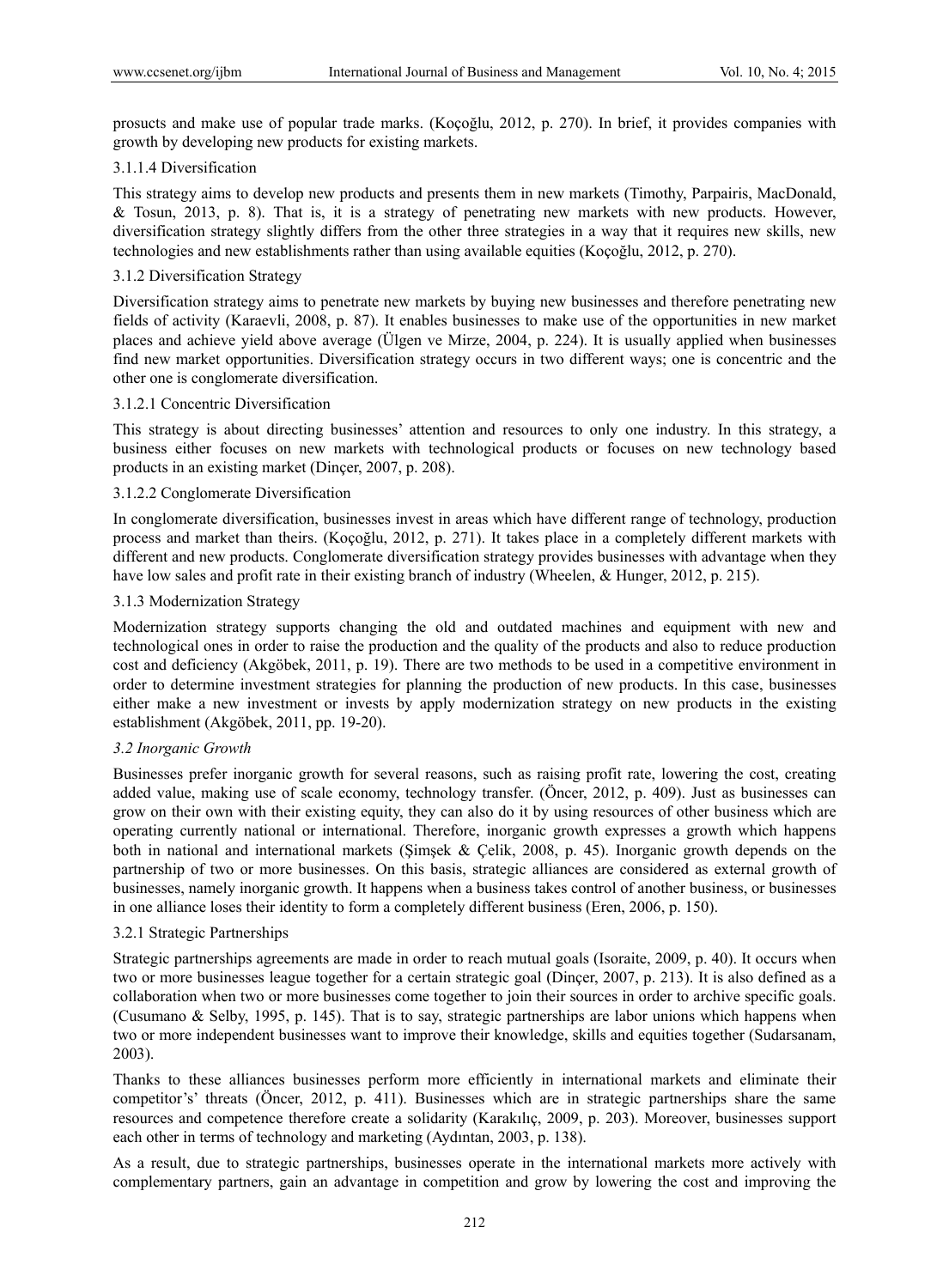prosucts and make use of popular trade marks. (Koçoğlu, 2012, p. 270). In brief, it provides companies with growth by developing new products for existing markets.

#### 3.1.1.4 Diversification

This strategy aims to develop new products and presents them in new markets (Timothy, Parpairis, MacDonald, & Tosun, 2013, p. 8). That is, it is a strategy of penetrating new markets with new products. However, diversification strategy slightly differs from the other three strategies in a way that it requires new skills, new technologies and new establishments rather than using available equities (Koçoğlu, 2012, p. 270).

### 3.1.2 Diversification Strategy

Diversification strategy aims to penetrate new markets by buying new businesses and therefore penetrating new fields of activity (Karaevli, 2008, p. 87). It enables businesses to make use of the opportunities in new market places and achieve yield above average (Ülgen ve Mirze, 2004, p. 224). It is usually applied when businesses find new market opportunities. Diversification strategy occurs in two different ways; one is concentric and the other one is conglomerate diversification.

#### 3.1.2.1 Concentric Diversification

This strategy is about directing businesses' attention and resources to only one industry. In this strategy, a business either focuses on new markets with technological products or focuses on new technology based products in an existing market (Dinçer, 2007, p. 208).

## 3.1.2.2 Conglomerate Diversification

In conglomerate diversification, businesses invest in areas which have different range of technology, production process and market than theirs. (Koçoğlu, 2012, p. 271). It takes place in a completely different markets with different and new products. Conglomerate diversification strategy provides businesses with advantage when they have low sales and profit rate in their existing branch of industry (Wheelen, & Hunger, 2012, p. 215).

#### 3.1.3 Modernization Strategy

Modernization strategy supports changing the old and outdated machines and equipment with new and technological ones in order to raise the production and the quality of the products and also to reduce production cost and deficiency (Akgöbek, 2011, p. 19). There are two methods to be used in a competitive environment in order to determine investment strategies for planning the production of new products. In this case, businesses either make a new investment or invests by apply modernization strategy on new products in the existing establishment (Akgöbek, 2011, pp. 19-20).

## *3.2 Inorganic Growth*

Businesses prefer inorganic growth for several reasons, such as raising profit rate, lowering the cost, creating added value, making use of scale economy, technology transfer. (Öncer, 2012, p. 409). Just as businesses can grow on their own with their existing equity, they can also do it by using resources of other business which are operating currently national or international. Therefore, inorganic growth expresses a growth which happens both in national and international markets (Şimşek & Çelik, 2008, p. 45). Inorganic growth depends on the partnership of two or more businesses. On this basis, strategic alliances are considered as external growth of businesses, namely inorganic growth. It happens when a business takes control of another business, or businesses in one alliance loses their identity to form a completely different business (Eren, 2006, p. 150).

#### 3.2.1 Strategic Partnerships

Strategic partnerships agreements are made in order to reach mutual goals (Isoraite, 2009, p. 40). It occurs when two or more businesses league together for a certain strategic goal (Dinçer, 2007, p. 213). It is also defined as a collaboration when two or more businesses come together to join their sources in order to archive specific goals. (Cusumano & Selby, 1995, p. 145). That is to say, strategic partnerships are labor unions which happens when two or more independent businesses want to improve their knowledge, skills and equities together (Sudarsanam, 2003).

Thanks to these alliances businesses perform more efficiently in international markets and eliminate their competitor's' threats (Öncer, 2012, p. 411). Businesses which are in strategic partnerships share the same resources and competence therefore create a solidarity (Karakılıç, 2009, p. 203). Moreover, businesses support each other in terms of technology and marketing (Aydıntan, 2003, p. 138).

As a result, due to strategic partnerships, businesses operate in the international markets more actively with complementary partners, gain an advantage in competition and grow by lowering the cost and improving the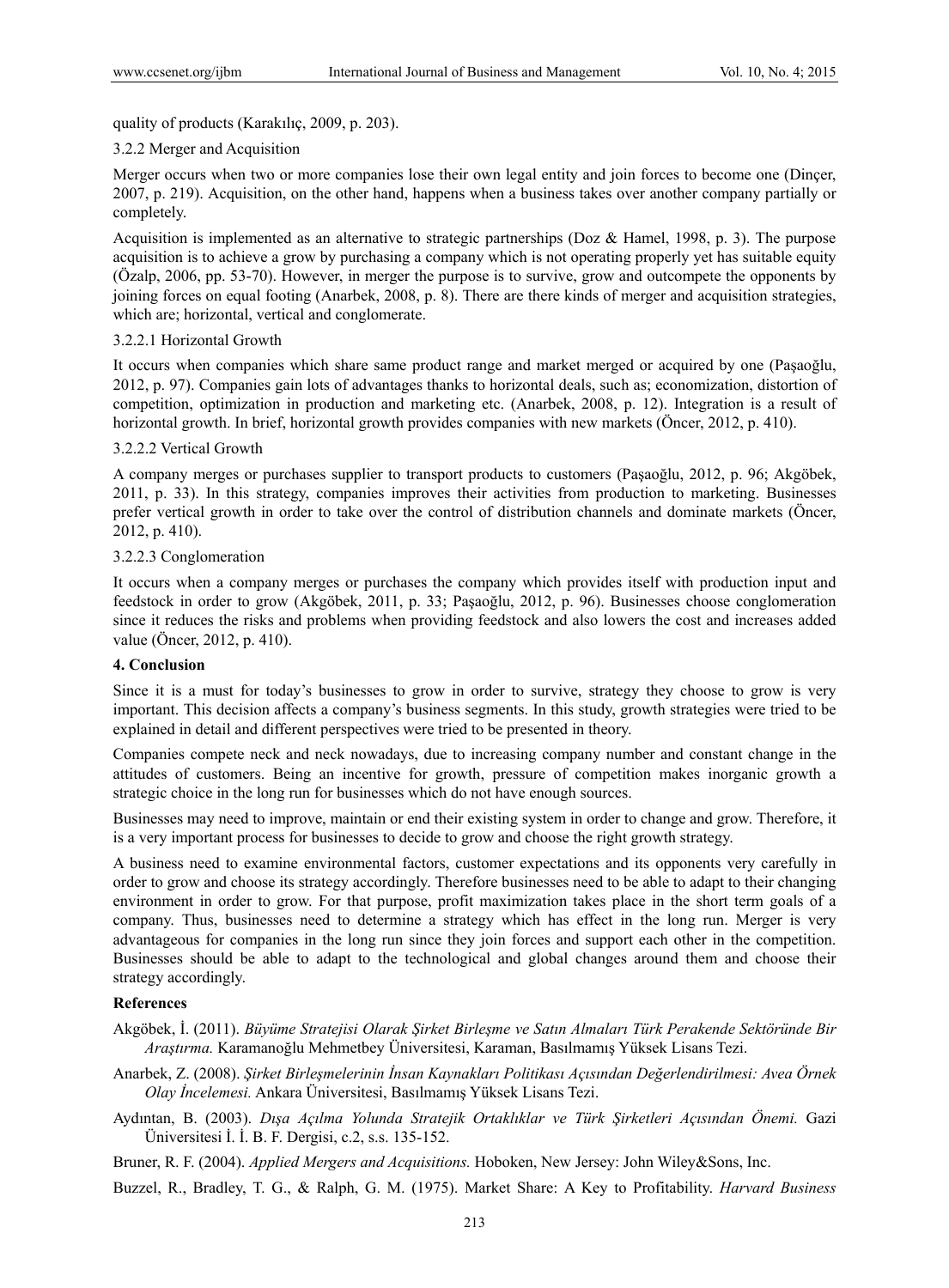quality of products (Karakılıç, 2009, p. 203).

#### 3.2.2 Merger and Acquisition

Merger occurs when two or more companies lose their own legal entity and join forces to become one (Dinçer, 2007, p. 219). Acquisition, on the other hand, happens when a business takes over another company partially or completely.

Acquisition is implemented as an alternative to strategic partnerships (Doz & Hamel, 1998, p. 3). The purpose acquisition is to achieve a grow by purchasing a company which is not operating properly yet has suitable equity (Özalp, 2006, pp. 53-70). However, in merger the purpose is to survive, grow and outcompete the opponents by joining forces on equal footing (Anarbek, 2008, p. 8). There are there kinds of merger and acquisition strategies, which are; horizontal, vertical and conglomerate.

#### 3.2.2.1 Horizontal Growth

It occurs when companies which share same product range and market merged or acquired by one (Paşaoğlu, 2012, p. 97). Companies gain lots of advantages thanks to horizontal deals, such as; economization, distortion of competition, optimization in production and marketing etc. (Anarbek, 2008, p. 12). Integration is a result of horizontal growth. In brief, horizontal growth provides companies with new markets (Öncer, 2012, p. 410).

#### 3.2.2.2 Vertical Growth

A company merges or purchases supplier to transport products to customers (Paşaoğlu, 2012, p. 96; Akgöbek, 2011, p. 33). In this strategy, companies improves their activities from production to marketing. Businesses prefer vertical growth in order to take over the control of distribution channels and dominate markets (Öncer, 2012, p. 410).

#### 3.2.2.3 Conglomeration

It occurs when a company merges or purchases the company which provides itself with production input and feedstock in order to grow (Akgöbek, 2011, p. 33; Paşaoğlu, 2012, p. 96). Businesses choose conglomeration since it reduces the risks and problems when providing feedstock and also lowers the cost and increases added value (Öncer, 2012, p. 410).

# **4. Conclusion**

Since it is a must for today's businesses to grow in order to survive, strategy they choose to grow is very important. This decision affects a company's business segments. In this study, growth strategies were tried to be explained in detail and different perspectives were tried to be presented in theory.

Companies compete neck and neck nowadays, due to increasing company number and constant change in the attitudes of customers. Being an incentive for growth, pressure of competition makes inorganic growth a strategic choice in the long run for businesses which do not have enough sources.

Businesses may need to improve, maintain or end their existing system in order to change and grow. Therefore, it is a very important process for businesses to decide to grow and choose the right growth strategy.

A business need to examine environmental factors, customer expectations and its opponents very carefully in order to grow and choose its strategy accordingly. Therefore businesses need to be able to adapt to their changing environment in order to grow. For that purpose, profit maximization takes place in the short term goals of a company. Thus, businesses need to determine a strategy which has effect in the long run. Merger is very advantageous for companies in the long run since they join forces and support each other in the competition. Businesses should be able to adapt to the technological and global changes around them and choose their strategy accordingly.

#### **References**

Akgöbek, İ. (2011). *Büyüme Stratejisi Olarak Şirket Birleşme ve Satın Almaları Türk Perakende Sektöründe Bir Araştırma.* Karamanoğlu Mehmetbey Üniversitesi, Karaman, Basılmamış Yüksek Lisans Tezi.

- Anarbek, Z. (2008). *Şirket Birleşmelerinin İnsan Kaynakları Politikası Açısından Değerlendirilmesi: Avea Örnek Olay İncelemesi.* Ankara Üniversitesi, Basılmamış Yüksek Lisans Tezi.
- Aydıntan, B. (2003). *Dışa Açılma Yolunda Stratejik Ortaklıklar ve Türk Şirketleri Açısından Önemi.* Gazi Üniversitesi İ. İ. B. F. Dergisi, c.2, s.s. 135-152.

Bruner, R. F. (2004). *Applied Mergers and Acquisitions.* Hoboken, New Jersey: John Wiley&Sons, Inc.

Buzzel, R., Bradley, T. G., & Ralph, G. M. (1975). Market Share: A Key to Profitability. *Harvard Business*